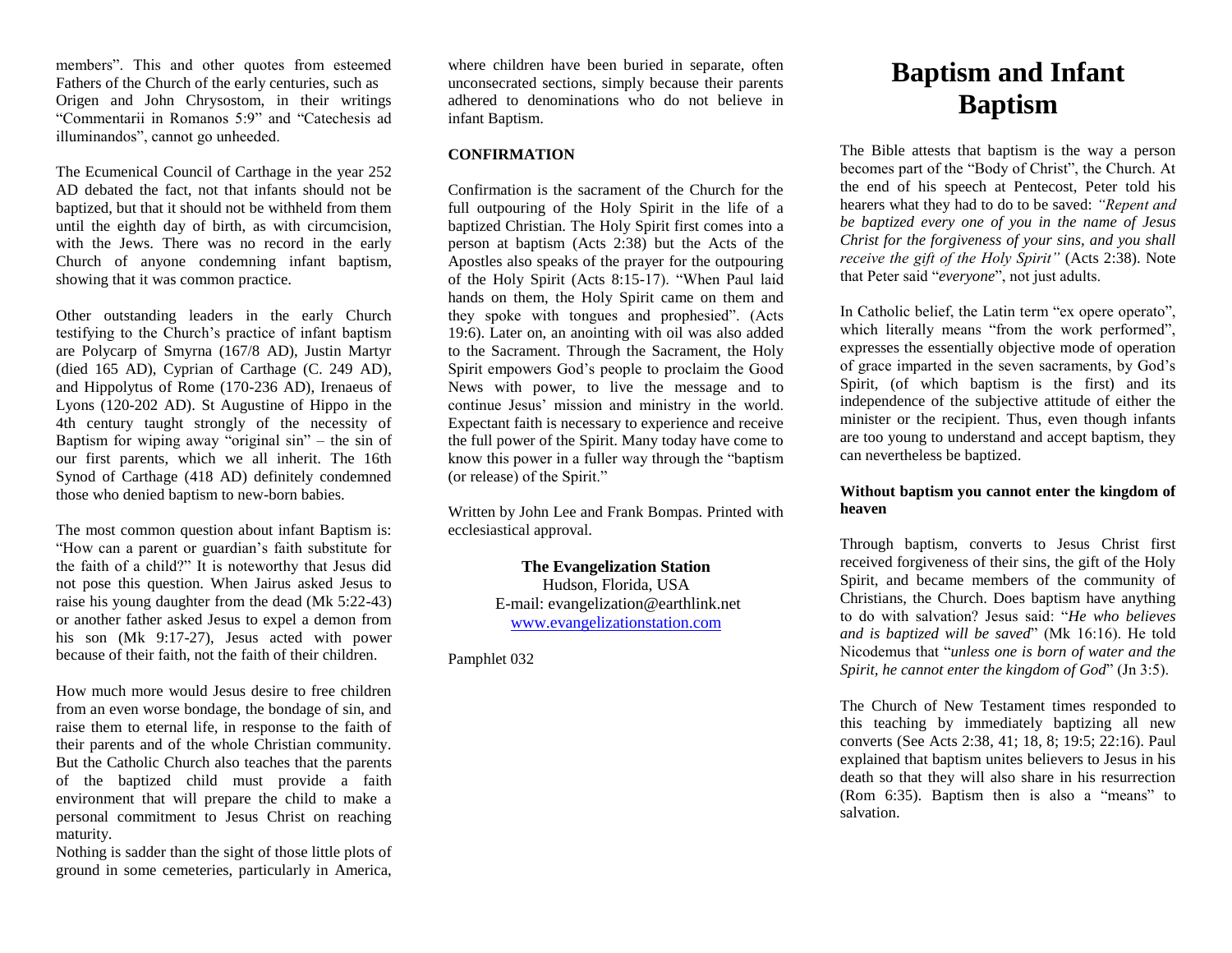members". This and other quotes from esteemed Fathers of the Church of the early centuries, such as Origen and John Chrysostom, in their writings "Commentarii in Romanos 5:9" and "Catechesis ad illuminandos", cannot go unheeded.

The Ecumenical Council of Carthage in the year 252 AD debated the fact, not that infants should not be baptized, but that it should not be withheld from them until the eighth day of birth, as with circumcision, with the Jews. There was no record in the early Church of anyone condemning infant baptism, showing that it was common practice.

Other outstanding leaders in the early Church testifying to the Church's practice of infant baptism are Polycarp of Smyrna (167/8 AD), Justin Martyr (died 165 AD), Cyprian of Carthage (C. 249 AD), and Hippolytus of Rome (170-236 AD), Irenaeus of Lyons (120-202 AD). St Augustine of Hippo in the 4th century taught strongly of the necessity of Baptism for wiping away "original sin" – the sin of our first parents, which we all inherit. The 16th Synod of Carthage (418 AD) definitely condemned those who denied baptism to new-born babies.

The most common question about infant Baptism is: "How can a parent or guardian's faith substitute for the faith of a child?" It is noteworthy that Jesus did not pose this question. When Jairus asked Jesus to raise his young daughter from the dead (Mk 5:22-43) or another father asked Jesus to expel a demon from his son (Mk 9:17-27), Jesus acted with power because of their faith, not the faith of their children.

How much more would Jesus desire to free children from an even worse bondage, the bondage of sin, and raise them to eternal life, in response to the faith of their parents and of the whole Christian community. But the Catholic Church also teaches that the parents of the baptized child must provide a faith environment that will prepare the child to make a personal commitment to Jesus Christ on reaching maturity.

Nothing is sadder than the sight of those little plots of ground in some cemeteries, particularly in America,

where children have been buried in separate, often unconsecrated sections, simply because their parents adhered to denominations who do not believe in infant Baptism.

## **CONFIRMATION**

Confirmation is the sacrament of the Church for the full outpouring of the Holy Spirit in the life of a baptized Christian. The Holy Spirit first comes into a person at baptism (Acts 2:38) but the Acts of the Apostles also speaks of the prayer for the outpouring of the Holy Spirit (Acts 8:15-17). "When Paul laid hands on them, the Holy Spirit came on them and they spoke with tongues and prophesied". (Acts 19:6). Later on, an anointing with oil was also added to the Sacrament. Through the Sacrament, the Holy Spirit empowers God's people to proclaim the Good News with power, to live the message and to continue Jesus' mission and ministry in the world. Expectant faith is necessary to experience and receive the full power of the Spirit. Many today have come to know this power in a fuller way through the "baptism (or release) of the Spirit."

Written by John Lee and Frank Bompas. Printed with ecclesiastical approval.

> **The Evangelization Station** Hudson, Florida, USA E-mail: evangelization@earthlink.net [www.evangelizationstation.com](http://www.pjpiisoe.org/)

# Pamphlet 032

# **Baptism and Infant Baptism**

The Bible attests that baptism is the way a person becomes part of the "Body of Christ", the Church. At the end of his speech at Pentecost, Peter told his hearers what they had to do to be saved: *"Repent and be baptized every one of you in the name of Jesus Christ for the forgiveness of your sins, and you shall receive the gift of the Holy Spirit"* (Acts 2:38). Note that Peter said "*everyone*", not just adults.

In Catholic belief, the Latin term "ex opere operato", which literally means "from the work performed", expresses the essentially objective mode of operation of grace imparted in the seven sacraments, by God's Spirit, (of which baptism is the first) and its independence of the subjective attitude of either the minister or the recipient. Thus, even though infants are too young to understand and accept baptism, they can nevertheless be baptized.

# **Without baptism you cannot enter the kingdom of heaven**

Through baptism, converts to Jesus Christ first received forgiveness of their sins, the gift of the Holy Spirit, and became members of the community of Christians, the Church. Does baptism have anything to do with salvation? Jesus said: "*He who believes and is baptized will be saved*" (Mk 16:16). He told Nicodemus that "*unless one is born of water and the Spirit, he cannot enter the kingdom of God*" (Jn 3:5).

The Church of New Testament times responded to this teaching by immediately baptizing all new converts (See Acts 2:38, 41; 18, 8; 19:5; 22:16). Paul explained that baptism unites believers to Jesus in his death so that they will also share in his resurrection (Rom 6:35). Baptism then is also a "means" to salvation.